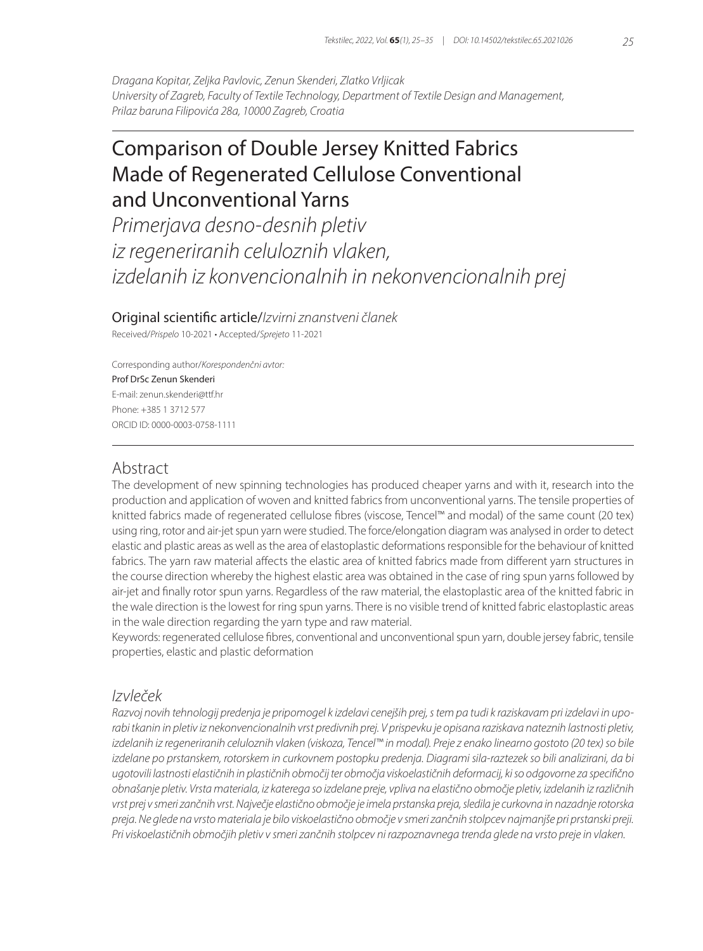*Dragana Kopitar, Zeljka Pavlovic, Zenun Skenderi, Zlatko Vrljicak University of Zagreb, Faculty of Textile Technology, Department of Textile Design and Management, Prilaz baruna Filipovića 28a, 10000 Zagreb, Croatia*

# Comparison of Double Jersey Knitted Fabrics Made of Regenerated Cellulose Conventional and Unconventional Yarns

*Primerjava desno-desnih pletiv iz regeneriranih celuloznih vlaken, izdelanih iz konvencionalnih in nekonvencionalnih prej*

Original scientific article/*Izvirni znanstveni članek*

Received/*Prispelo* 10-2021 • Accepted/*Sprejeto* 11-2021

Corresponding author/*Korespondenčni avtor:* Prof DrSc Zenun Skenderi E-mail: zenun.skenderi@ttf.hr Phone: +385 1 3712 577 ORCID ID: 0000-0003-0758-1111

### Abstract

The development of new spinning technologies has produced cheaper yarns and with it, research into the production and application of woven and knitted fabrics from unconventional yarns. The tensile properties of knitted fabrics made of regenerated cellulose fibres (viscose, Tencel™ and modal) of the same count (20 tex) using ring, rotor and air-jet spun yarn were studied. The force/elongation diagram was analysed in order to detect elastic and plastic areas as well as the area of elastoplastic deformations responsible for the behaviour of knitted fabrics. The yarn raw material affects the elastic area of knitted fabrics made from different yarn structures in the course direction whereby the highest elastic area was obtained in the case of ring spun yarns followed by air-jet and finally rotor spun yarns. Regardless of the raw material, the elastoplastic area of the knitted fabric in the wale direction is the lowest for ring spun yarns. There is no visible trend of knitted fabric elastoplastic areas in the wale direction regarding the yarn type and raw material.

Keywords: regenerated cellulose fibres, conventional and unconventional spun yarn, double jersey fabric, tensile properties, elastic and plastic deformation

## *Izvleček*

*Razvoj novih tehnologij predenja je pripomogel k izdelavi cenejših prej, s tem pa tudi k raziskavam pri izdelavi in uporabi tkanin in pletiv iz nekonvencionalnih vrst predivnih prej. V prispevku je opisana raziskava nateznih lastnosti pletiv, izdelanih iz regeneriranih celuloznih vlaken (viskoza, Tencel™ in modal). Preje z enako linearno gostoto (20 tex) so bile izdelane po prstanskem, rotorskem in curkovnem postopku predenja. Diagrami sila-raztezek so bili analizirani, da bi ugotovili lastnosti elastičnih in plastičnih območij ter območja viskoelastičnih deformacij, ki so odgovorne za specifično obnašanje pletiv. Vrsta materiala, iz katerega so izdelane preje, vpliva na elastično območje pletiv, izdelanih iz različnih vrst prej v smeri zančnih vrst. Največje elastično območje je imela prstanska preja, sledila je curkovna in nazadnje rotorska preja. Ne glede na vrsto materiala je bilo viskoelastično območje v smeri zančnih stolpcev najmanjše pri prstanski preji. Pri viskoelastičnih območjih pletiv v smeri zančnih stolpcev ni razpoznavnega trenda glede na vrsto preje in vlaken.*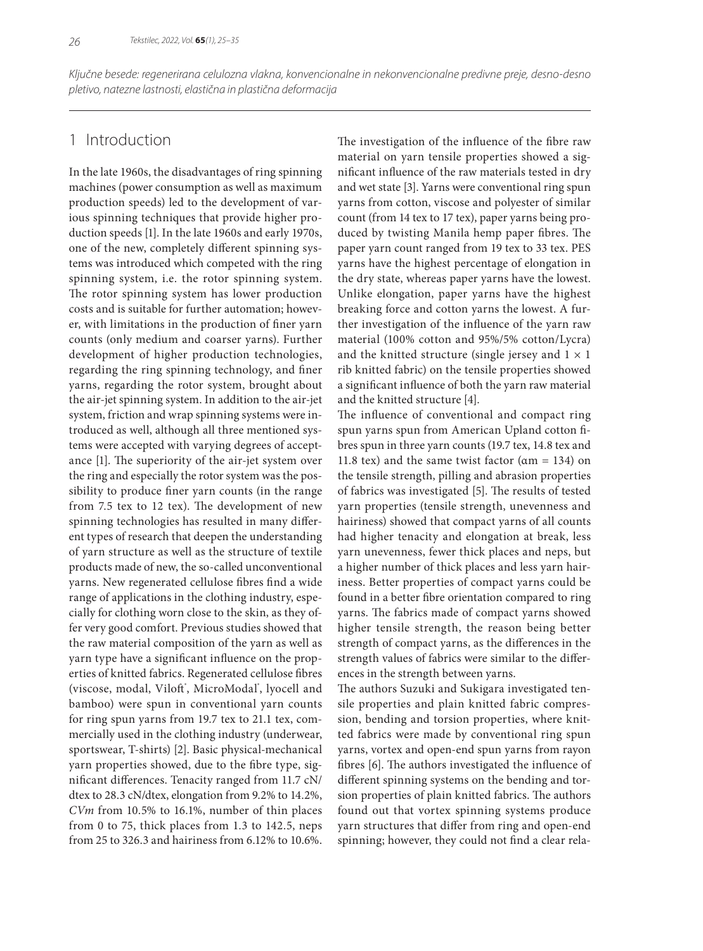*Ključne besede: regenerirana celulozna vlakna, konvencionalne in nekonvencionalne predivne preje, desno-desno pletivo, natezne lastnosti, elastična in plastična deformacija*

# 1 Introduction

In the late 1960s, the disadvantages of ring spinning machines (power consumption as well as maximum production speeds) led to the development of various spinning techniques that provide higher production speeds [1]. In the late 1960s and early 1970s, one of the new, completely different spinning systems was introduced which competed with the ring spinning system, i.e. the rotor spinning system. The rotor spinning system has lower production costs and is suitable for further automation; however, with limitations in the production of finer yarn counts (only medium and coarser yarns). Further development of higher production technologies, regarding the ring spinning technology, and finer yarns, regarding the rotor system, brought about the air-jet spinning system. In addition to the air-jet system, friction and wrap spinning systems were introduced as well, although all three mentioned systems were accepted with varying degrees of acceptance [1]. The superiority of the air-jet system over the ring and especially the rotor system was the possibility to produce finer yarn counts (in the range from 7.5 tex to 12 tex). The development of new spinning technologies has resulted in many different types of research that deepen the understanding of yarn structure as well as the structure of textile products made of new, the so-called unconventional yarns. New regenerated cellulose fibres find a wide range of applications in the clothing industry, especially for clothing worn close to the skin, as they offer very good comfort. Previous studies showed that the raw material composition of the yarn as well as yarn type have a significant influence on the properties of knitted fabrics. Regenerated cellulose fibres (viscose, modal, Viloft<sup>®</sup>, MicroModal<sup>®</sup>, lyocell and bamboo) were spun in conventional yarn counts for ring spun yarns from 19.7 tex to 21.1 tex, commercially used in the clothing industry (underwear, sportswear, T-shirts) [2]. Basic physical-mechanical yarn properties showed, due to the fibre type, significant differences. Tenacity ranged from 11.7 cN/ dtex to 28.3 cN/dtex, elongation from 9.2% to 14.2%, *CVm* from 10.5% to 16.1%, number of thin places from 0 to 75, thick places from 1.3 to 142.5, neps from 25 to 326.3 and hairiness from 6.12% to 10.6%.

The investigation of the influence of the fibre raw material on yarn tensile properties showed a significant influence of the raw materials tested in dry and wet state [3]. Yarns were conventional ring spun yarns from cotton, viscose and polyester of similar count (from 14 tex to 17 tex), paper yarns being produced by twisting Manila hemp paper fibres. The paper yarn count ranged from 19 tex to 33 tex. PES yarns have the highest percentage of elongation in the dry state, whereas paper yarns have the lowest. Unlike elongation, paper yarns have the highest breaking force and cotton yarns the lowest. A further investigation of the influence of the yarn raw material (100% cotton and 95%/5% cotton/Lycra) and the knitted structure (single jersey and  $1 \times 1$ rib knitted fabric) on the tensile properties showed a significant influence of both the yarn raw material and the knitted structure [4].

The influence of conventional and compact ring spun yarns spun from American Upland cotton fibres spun in three yarn counts (19.7 tex, 14.8 tex and 11.8 tex) and the same twist factor  $(\alpha m = 134)$  on the tensile strength, pilling and abrasion properties of fabrics was investigated [5]. The results of tested yarn properties (tensile strength, unevenness and hairiness) showed that compact yarns of all counts had higher tenacity and elongation at break, less yarn unevenness, fewer thick places and neps, but a higher number of thick places and less yarn hairiness. Better properties of compact yarns could be found in a better fibre orientation compared to ring yarns. The fabrics made of compact yarns showed higher tensile strength, the reason being better strength of compact yarns, as the differences in the strength values of fabrics were similar to the differences in the strength between yarns.

The authors Suzuki and Sukigara investigated tensile properties and plain knitted fabric compression, bending and torsion properties, where knitted fabrics were made by conventional ring spun yarns, vortex and open-end spun yarns from rayon fibres [6]. The authors investigated the influence of different spinning systems on the bending and torsion properties of plain knitted fabrics. The authors found out that vortex spinning systems produce yarn structures that differ from ring and open-end spinning; however, they could not find a clear rela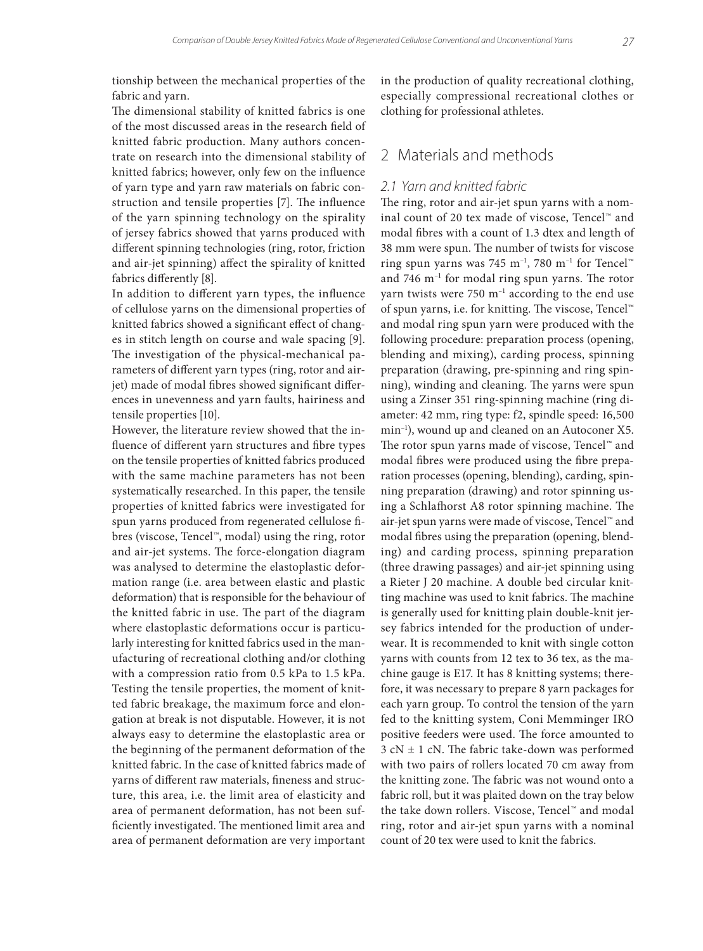tionship between the mechanical properties of the fabric and yarn.

The dimensional stability of knitted fabrics is one of the most discussed areas in the research field of knitted fabric production. Many authors concentrate on research into the dimensional stability of knitted fabrics; however, only few on the influence of yarn type and yarn raw materials on fabric construction and tensile properties [7]. The influence of the yarn spinning technology on the spirality of jersey fabrics showed that yarns produced with different spinning technologies (ring, rotor, friction and air-jet spinning) affect the spirality of knitted fabrics differently [8].

In addition to different yarn types, the influence of cellulose yarns on the dimensional properties of knitted fabrics showed a significant effect of changes in stitch length on course and wale spacing [9]. The investigation of the physical-mechanical parameters of different yarn types (ring, rotor and airjet) made of modal fibres showed significant differences in unevenness and yarn faults, hairiness and tensile properties [10].

However, the literature review showed that the influence of different yarn structures and fibre types on the tensile properties of knitted fabrics produced with the same machine parameters has not been systematically researched. In this paper, the tensile properties of knitted fabrics were investigated for spun yarns produced from regenerated cellulose fibres (viscose, Tencel™, modal) using the ring, rotor and air-jet systems. The force-elongation diagram was analysed to determine the elastoplastic deformation range (i.e. area between elastic and plastic deformation) that is responsible for the behaviour of the knitted fabric in use. The part of the diagram where elastoplastic deformations occur is particularly interesting for knitted fabrics used in the manufacturing of recreational clothing and/or clothing with a compression ratio from 0.5 kPa to 1.5 kPa. Testing the tensile properties, the moment of knitted fabric breakage, the maximum force and elongation at break is not disputable. However, it is not always easy to determine the elastoplastic area or the beginning of the permanent deformation of the knitted fabric. In the case of knitted fabrics made of yarns of different raw materials, fineness and structure, this area, i.e. the limit area of elasticity and area of permanent deformation, has not been sufficiently investigated. The mentioned limit area and area of permanent deformation are very important

in the production of quality recreational clothing, especially compressional recreational clothes or clothing for professional athletes.

### 2 Materials and methods

#### *2.1 Yarn and knitted fabric*

The ring, rotor and air-jet spun yarns with a nominal count of 20 tex made of viscose, Tencel™ and modal fibres with a count of 1.3 dtex and length of 38 mm were spun. The number of twists for viscose ring spun yarns was 745 m<sup>-1</sup>, 780 m<sup>-1</sup> for Tencel<sup>™</sup> and 746 m–1 for modal ring spun yarns. The rotor yarn twists were 750 m<sup>-1</sup> according to the end use of spun yarns, i.e. for knitting. The viscose, Tencel™ and modal ring spun yarn were produced with the following procedure: preparation process (opening, blending and mixing), carding process, spinning preparation (drawing, pre-spinning and ring spinning), winding and cleaning. The yarns were spun using a Zinser 351 ring-spinning machine (ring diameter: 42 mm, ring type: f2, spindle speed: 16,500 min–1), wound up and cleaned on an Autoconer X5. The rotor spun yarns made of viscose, Tencel™ and modal fibres were produced using the fibre preparation processes (opening, blending), carding, spinning preparation (drawing) and rotor spinning using a Schlafhorst A8 rotor spinning machine. The air-jet spun yarns were made of viscose, Tencel™ and modal fibres using the preparation (opening, blending) and carding process, spinning preparation (three drawing passages) and air-jet spinning using a Rieter J 20 machine. A double bed circular knitting machine was used to knit fabrics. The machine is generally used for knitting plain double-knit jersey fabrics intended for the production of underwear. It is recommended to knit with single cotton yarns with counts from 12 tex to 36 tex, as the machine gauge is E17. It has 8 knitting systems; therefore, it was necessary to prepare 8 yarn packages for each yarn group. To control the tension of the yarn fed to the knitting system, Coni Memminger IRO positive feeders were used. The force amounted to  $3 cN \pm 1 cN$ . The fabric take-down was performed with two pairs of rollers located 70 cm away from the knitting zone. The fabric was not wound onto a fabric roll, but it was plaited down on the tray below the take down rollers. Viscose, Tencel™ and modal ring, rotor and air-jet spun yarns with a nominal count of 20 tex were used to knit the fabrics.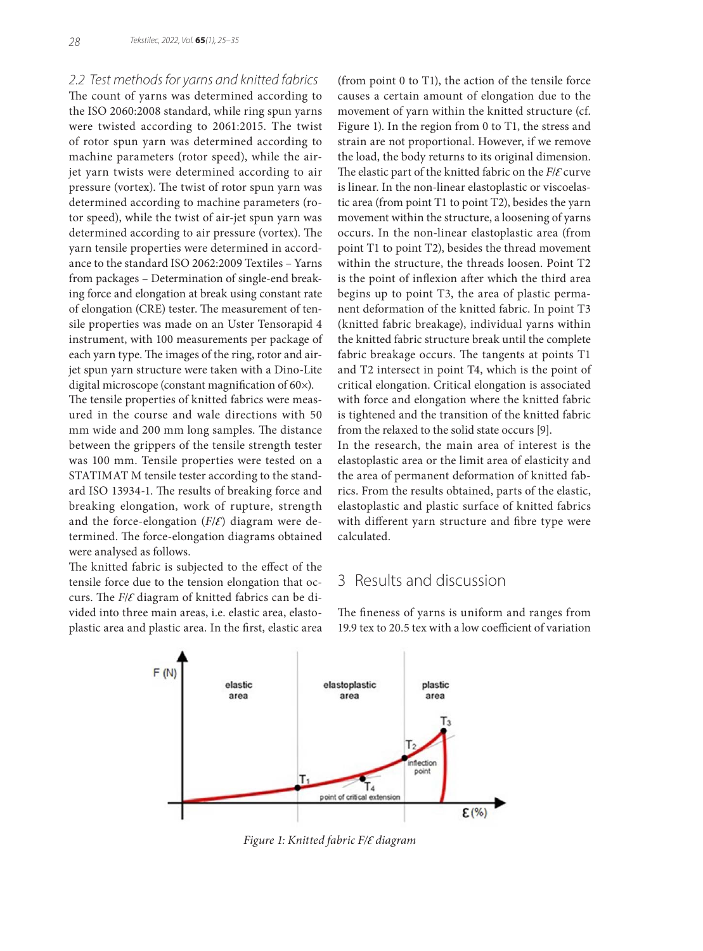*2.2 Test methods for yarns and knitted fabrics*

The count of yarns was determined according to the ISO 2060:2008 standard, while ring spun yarns were twisted according to 2061:2015. The twist of rotor spun yarn was determined according to machine parameters (rotor speed), while the airjet yarn twists were determined according to air pressure (vortex). The twist of rotor spun yarn was determined according to machine parameters (rotor speed), while the twist of air-jet spun yarn was determined according to air pressure (vortex). The yarn tensile properties were determined in accordance to the standard ISO 2062:2009 Textiles – Yarns from packages – Determination of single-end breaking force and elongation at break using constant rate of elongation (CRE) tester. The measurement of tensile properties was made on an Uster Tensorapid 4 instrument, with 100 measurements per package of each yarn type. The images of the ring, rotor and airjet spun yarn structure were taken with a Dino-Lite digital microscope (constant magnification of 60×).

The tensile properties of knitted fabrics were measured in the course and wale directions with 50 mm wide and 200 mm long samples. The distance between the grippers of the tensile strength tester was 100 mm. Tensile properties were tested on a STATIMAT M tensile tester according to the standard ISO 13934-1. The results of breaking force and breaking elongation, work of rupture, strength and the force-elongation  $(F/\mathcal{E})$  diagram were determined. The force-elongation diagrams obtained were analysed as follows.

The knitted fabric is subjected to the effect of the tensile force due to the tension elongation that occurs. The *F*/*Ɛ* diagram of knitted fabrics can be divided into three main areas, i.e. elastic area, elastoplastic area and plastic area. In the first, elastic area (from point 0 to T1), the action of the tensile force causes a certain amount of elongation due to the movement of yarn within the knitted structure (cf. Figure 1). In the region from 0 to T1, the stress and strain are not proportional. However, if we remove the load, the body returns to its original dimension. The elastic part of the knitted fabric on the *F*/*Ɛ* curve is linear. In the non-linear elastoplastic or viscoelastic area (from point T1 to point T2), besides the yarn movement within the structure, a loosening of yarns occurs. In the non-linear elastoplastic area (from point T1 to point T2), besides the thread movement within the structure, the threads loosen. Point T2 is the point of inflexion after which the third area begins up to point T3, the area of plastic permanent deformation of the knitted fabric. In point T3 (knitted fabric breakage), individual yarns within the knitted fabric structure break until the complete fabric breakage occurs. The tangents at points T1 and T2 intersect in point T4, which is the point of critical elongation. Critical elongation is associated with force and elongation where the knitted fabric is tightened and the transition of the knitted fabric from the relaxed to the solid state occurs [9].

In the research, the main area of interest is the elastoplastic area or the limit area of elasticity and the area of permanent deformation of knitted fabrics. From the results obtained, parts of the elastic, elastoplastic and plastic surface of knitted fabrics with different yarn structure and fibre type were calculated.

# 3 Results and discussion

The fineness of yarns is uniform and ranges from 19.9 tex to 20.5 tex with a low coefficient of variation



*Figure 1: Knitted fabric F/Ɛ diagram*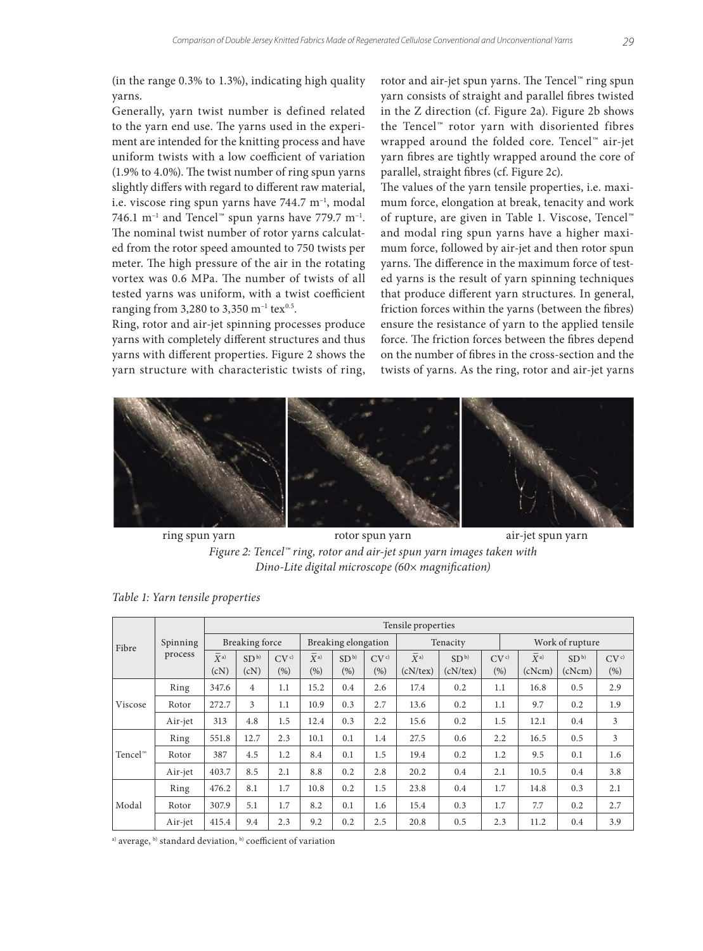(in the range 0.3% to 1.3%), indicating high quality yarns.

Generally, yarn twist number is defined related to the yarn end use. The yarns used in the experiment are intended for the knitting process and have uniform twists with a low coefficient of variation (1.9% to 4.0%). The twist number of ring spun yarns slightly differs with regard to different raw material, i.e. viscose ring spun yarns have 744.7 m<sup>-1</sup>, modal 746.1 m<sup>-1</sup> and Tencel™ spun yarns have 779.7 m<sup>-1</sup>. The nominal twist number of rotor yarns calculated from the rotor speed amounted to 750 twists per meter. The high pressure of the air in the rotating vortex was 0.6 MPa. The number of twists of all tested yarns was uniform, with a twist coefficient ranging from 3,280 to 3,350 m<sup>-1</sup> tex<sup>0.5</sup>.

Ring, rotor and air-jet spinning processes produce yarns with completely different structures and thus yarns with different properties. Figure 2 shows the yarn structure with characteristic twists of ring,

rotor and air-jet spun yarns. The Tencel™ ring spun yarn consists of straight and parallel fibres twisted in the Z direction (cf. Figure 2a). Figure 2b shows the Tencel™ rotor yarn with disoriented fibres wrapped around the folded core. Tencel™ air-jet yarn fibres are tightly wrapped around the core of parallel, straight fibres (cf. Figure 2c).

The values of the yarn tensile properties, i.e. maximum force, elongation at break, tenacity and work of rupture, are given in Table 1. Viscose, Tencel™ and modal ring spun yarns have a higher maximum force, followed by air-jet and then rotor spun yarns. The difference in the maximum force of tested yarns is the result of yarn spinning techniques that produce different yarn structures. In general, friction forces within the yarns (between the fibres) ensure the resistance of yarn to the applied tensile force. The friction forces between the fibres depend on the number of fibres in the cross-section and the twists of yarns. As the ring, rotor and air-jet yarns



ring spun yarn rotor spun yarn air-jet spun yarn *Figure 2: Tencel™ ring, rotor and air-jet spun yarn images taken with Dino-Lite digital microscope (60× magnification)*

| Fibre                                 | Spinning<br>process | Tensile properties |                         |                |                     |                         |               |                      |                             |               |                                      |                            |                |  |
|---------------------------------------|---------------------|--------------------|-------------------------|----------------|---------------------|-------------------------|---------------|----------------------|-----------------------------|---------------|--------------------------------------|----------------------------|----------------|--|
|                                       |                     | Breaking force     |                         |                | Breaking elongation |                         |               |                      | Tenacity                    |               | Work of rupture                      |                            |                |  |
|                                       |                     | $X^{a)}$<br>(cN)   | SD <sup>b</sup><br>(cN) | $CV^c$<br>(% ) | $X^{a)}$<br>(%)     | SD <sup>b</sup><br>(% ) | $CV^c$<br>(%) | $X^{a)}$<br>(cN/tex) | SD <sup>b</sup><br>(cN/tex) | $CV^c$<br>(%) | $\overline{X}{}^{\rm a)}$<br>(cNorm) | SD <sup>b</sup><br>(cNorm) | $CV^c$<br>(% ) |  |
| Viscose                               | Ring                | 347.6              | $\overline{4}$          | 1.1            | 15.2                | 0.4                     | 2.6           | 17.4                 | 0.2                         | 1.1           | 16.8                                 | 0.5                        | 2.9            |  |
|                                       | Rotor               | 272.7              | 3                       | 1.1            | 10.9                | 0.3                     | 2.7           | 13.6                 | 0.2                         | 1.1           | 9.7                                  | 0.2                        | 1.9            |  |
|                                       | Air-jet             | 313                | 4.8                     | 1.5            | 12.4                | 0.3                     | 2.2           | 15.6                 | 0.2                         | 1.5           | 12.1                                 | 0.4                        | 3              |  |
|                                       | Ring                | 551.8              | 12.7                    | 2.3            | 10.1                | 0.1                     | 1.4           | 27.5                 | 0.6                         | 2.2           | 16.5                                 | 0.5                        | 3              |  |
| Tencel <sup><math>\infty</math></sup> | Rotor               | 387                | 4.5                     | 1.2            | 8.4                 | 0.1                     | 1.5           | 19.4                 | 0.2                         | 1.2           | 9.5                                  | 0.1                        | 1.6            |  |
|                                       | Air-jet             | 403.7              | 8.5                     | 2.1            | 8.8                 | 0.2                     | 2.8           | 20.2                 | 0.4                         | 2.1           | 10.5                                 | 0.4                        | 3.8            |  |
| Modal                                 | Ring                | 476.2              | 8.1                     | 1.7            | 10.8                | 0.2                     | 1.5           | 23.8                 | 0.4                         | 1.7           | 14.8                                 | 0.3                        | 2.1            |  |
|                                       | Rotor               | 307.9              | 5.1                     | 1.7            | 8.2                 | 0.1                     | 1.6           | 15.4                 | 0.3                         | 1.7           | 7.7                                  | 0.2                        | 2.7            |  |
|                                       | Air-jet             | 415.4              | 9.4                     | 2.3            | 9.2                 | 0.2                     | 2.5           | 20.8                 | 0.5                         | 2.3           | 11.2                                 | 0.4                        | 3.9            |  |

*Table 1: Yarn tensile properties*

a) average, b) standard deviation, b) coefficient of variation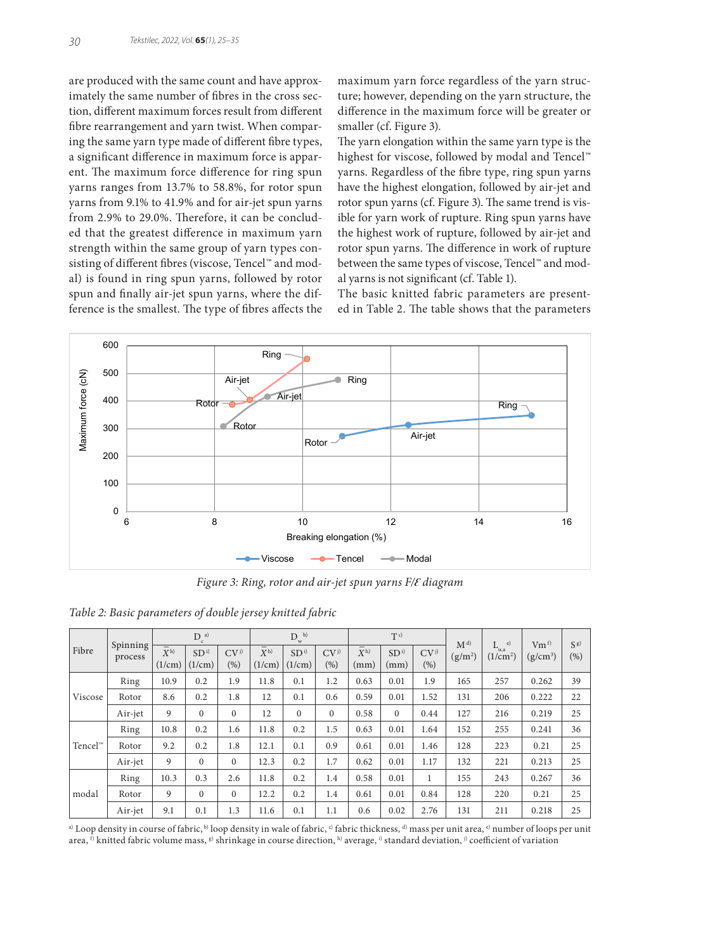are produced with the same count and have approximately the same number of fibres in the cross section, different maximum forces result from different fibre rearrangement and yarn twist. When comparing the same yarn type made of different fibre types, a significant difference in maximum force is apparent. The maximum force difference for ring spun yarns ranges from 13.7% to 58.8%, for rotor spun yarns from 9.1% to 41.9% and for air-jet spun yarns from 2.9% to 29.0%. Therefore, it can be concluded that the greatest difference in maximum yarn strength within the same group of yarn types consisting of different fibres (viscose, Tencel™ and modal) is found in ring spun yarns, followed by rotor spun and finally air-jet spun yarns, where the difference is the smallest. The type of fibres affects the

maximum yarn force regardless of the yarn structure; however, depending on the yarn structure, the difference in the maximum force will be greater or smaller (cf. Figure 3).

The yarn elongation within the same yarn type is the highest for viscose, followed by modal and Tencel™ yarns. Regardless of the fibre type, ring spun yarns have the highest elongation, followed by air-jet and rotor spun yarns (cf. Figure 3). The same trend is visible for yarn work of rupture. Ring spun yarns have the highest work of rupture, followed by air-jet and rotor spun yarns. The difference in work of rupture between the same types of viscose, Tencel™ and modal yarns is not significant (cf. Table 1).

The basic knitted fabric parameters are presented in Table 2. The table shows that the parameters



*Figure 3: Ring, rotor and air-jet spun yarns F/Ɛ diagram*

| Fibre               | Spinning<br>process | $D^{a}$                                |                           |                        | $D^{-b}$<br>w               |                           |                         |                                   | $T^{c}$                 |                         |                      | $\epsilon$                       | Vm <sup>f</sup> | $S^{g}$ |
|---------------------|---------------------|----------------------------------------|---------------------------|------------------------|-----------------------------|---------------------------|-------------------------|-----------------------------------|-------------------------|-------------------------|----------------------|----------------------------------|-----------------|---------|
|                     |                     | $\overline{\overline{X}}$ h)<br>(1/cm) | SD <sup>i</sup><br>(1/cm) | CV <sub>j</sub><br>(%) | $\overline{X}$ h)<br>(1/cm) | SD <sup>i</sup><br>(1/cm) | CV <sub>j</sub><br>(% ) | $\overline{X}{}^{\rm h)}$<br>(mm) | SD <sup>i</sup><br>(mm) | CV <sub>j</sub><br>(% ) | $M^{d}$<br>$(g/m^2)$ | L<br>u.a<br>(1/cm <sup>2</sup> ) | $(g/cm^3)$      | (%)     |
| Viscose             | Ring                | 10.9                                   | 0.2                       | 1.9                    | 11.8                        | 0.1                       | 1.2                     | 0.63                              | 0.01                    | 1.9                     | 165                  | 257                              | 0.262           | 39      |
|                     | Rotor               | 8.6                                    | 0.2                       | 1.8                    | 12                          | 0.1                       | 0.6                     | 0.59                              | 0.01                    | 1.52                    | 131                  | 206                              | 0.222           | 22      |
|                     | Air-jet             | 9                                      | $\Omega$                  | $\Omega$               | 12                          | $\mathbf{0}$              | $\Omega$                | 0.58                              | $\Omega$                | 0.44                    | 127                  | 216                              | 0.219           | 25      |
|                     | Ring                | 10.8                                   | 0.2                       | 1.6                    | 11.8                        | 0.2                       | 1.5                     | 0.63                              | 0.01                    | 1.64                    | 152                  | 255                              | 0.241           | 36      |
| Tencel <sup>™</sup> | Rotor               | 9.2                                    | 0.2                       | 1.8                    | 12.1                        | 0.1                       | 0.9                     | 0.61                              | 0.01                    | 1.46                    | 128                  | 223                              | 0.21            | 25      |
|                     | Air-jet             | 9                                      | $\Omega$                  | $\Omega$               | 12.3                        | 0.2                       | 1.7                     | 0.62                              | 0.01                    | 1.17                    | 132                  | 221                              | 0.213           | 25      |
| modal               | Ring                | 10.3                                   | 0.3                       | 2.6                    | 11.8                        | 0.2                       | 1.4                     | 0.58                              | 0.01                    | 1                       | 155                  | 243                              | 0.267           | 36      |
|                     | Rotor               | 9                                      | $\Omega$                  | $\Omega$               | 12.2                        | 0.2                       | 1.4                     | 0.61                              | 0.01                    | 0.84                    | 128                  | 220                              | 0.21            | 25      |
|                     | Air-jet             | 9.1                                    | 0.1                       | 1.3                    | 11.6                        | 0.1                       | 1.1                     | 0.6                               | 0.02                    | 2.76                    | 131                  | 211                              | 0.218           | 25      |

*Table 2: Basic parameters of double jersey knitted fabric*

a) Loop density in course of fabric, <sup>b</sup>) loop density in wale of fabric, <sup>c)</sup> fabric thickness, <sup>d)</sup> mass per unit area, <sup>e)</sup> number of loops per unit area,  $\hat{p}$  knitted fabric volume mass,  $\hat{p}$  shrinkage in course direction,  $\hat{p}$  average,  $\hat{p}$  standard deviation,  $\hat{p}$  coefficient of variation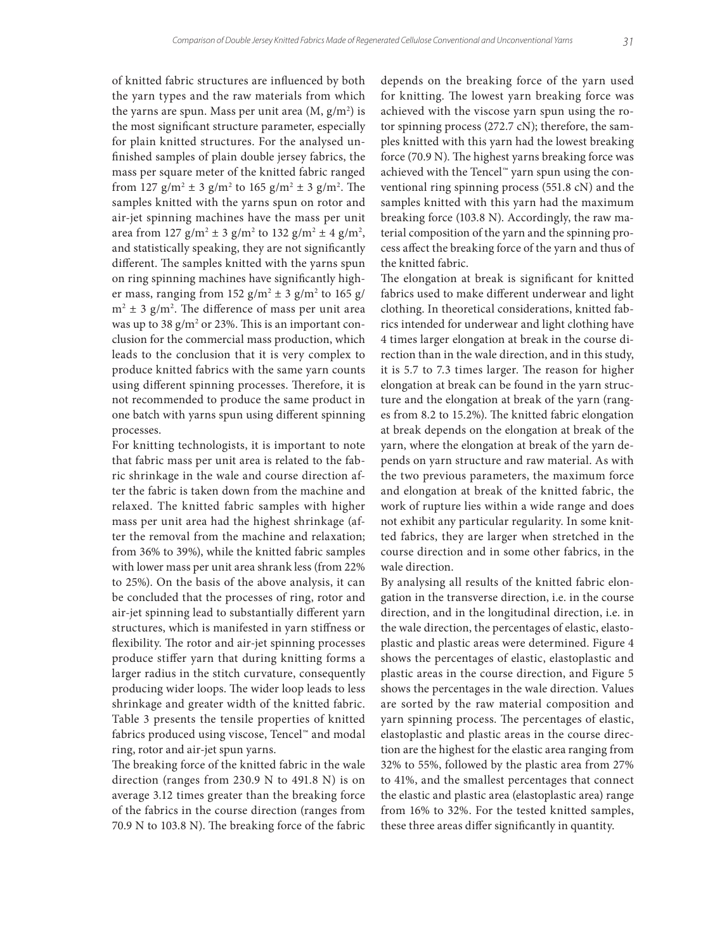of knitted fabric structures are influenced by both the yarn types and the raw materials from which the yarns are spun. Mass per unit area  $(M, g/m^2)$  is the most significant structure parameter, especially for plain knitted structures. For the analysed unfinished samples of plain double jersey fabrics, the mass per square meter of the knitted fabric ranged from 127  $g/m^2 \pm 3 g/m^2$  to 165  $g/m^2 \pm 3 g/m^2$ . The samples knitted with the yarns spun on rotor and air-jet spinning machines have the mass per unit area from  $127 \text{ g/m}^2 \pm 3 \text{ g/m}^2$  to  $132 \text{ g/m}^2 \pm 4 \text{ g/m}^2$ , and statistically speaking, they are not significantly different. The samples knitted with the yarns spun on ring spinning machines have significantly higher mass, ranging from  $152$  g/m<sup>2</sup>  $\pm$  3 g/m<sup>2</sup> to 165 g/  $m^2 \pm 3$  g/m<sup>2</sup>. The difference of mass per unit area was up to 38 g/m $^2$  or 23%. This is an important conclusion for the commercial mass production, which leads to the conclusion that it is very complex to produce knitted fabrics with the same yarn counts using different spinning processes. Therefore, it is not recommended to produce the same product in one batch with yarns spun using different spinning processes.

For knitting technologists, it is important to note that fabric mass per unit area is related to the fabric shrinkage in the wale and course direction after the fabric is taken down from the machine and relaxed. The knitted fabric samples with higher mass per unit area had the highest shrinkage (after the removal from the machine and relaxation; from 36% to 39%), while the knitted fabric samples with lower mass per unit area shrank less (from 22% to 25%). On the basis of the above analysis, it can be concluded that the processes of ring, rotor and air-jet spinning lead to substantially different yarn structures, which is manifested in yarn stiffness or flexibility. The rotor and air-jet spinning processes produce stiffer yarn that during knitting forms a larger radius in the stitch curvature, consequently producing wider loops. The wider loop leads to less shrinkage and greater width of the knitted fabric. Table 3 presents the tensile properties of knitted fabrics produced using viscose, Tencel™ and modal ring, rotor and air-jet spun yarns.

The breaking force of the knitted fabric in the wale direction (ranges from 230.9 N to 491.8 N) is on average 3.12 times greater than the breaking force of the fabrics in the course direction (ranges from 70.9 N to 103.8 N). The breaking force of the fabric

depends on the breaking force of the yarn used for knitting. The lowest yarn breaking force was achieved with the viscose yarn spun using the rotor spinning process (272.7 cN); therefore, the samples knitted with this yarn had the lowest breaking force (70.9 N). The highest yarns breaking force was achieved with the Tencel™ yarn spun using the conventional ring spinning process (551.8 cN) and the samples knitted with this yarn had the maximum breaking force (103.8 N). Accordingly, the raw material composition of the yarn and the spinning process affect the breaking force of the yarn and thus of the knitted fabric.

The elongation at break is significant for knitted fabrics used to make different underwear and light clothing. In theoretical considerations, knitted fabrics intended for underwear and light clothing have 4 times larger elongation at break in the course direction than in the wale direction, and in this study, it is 5.7 to 7.3 times larger. The reason for higher elongation at break can be found in the yarn structure and the elongation at break of the yarn (ranges from 8.2 to 15.2%). The knitted fabric elongation at break depends on the elongation at break of the yarn, where the elongation at break of the yarn depends on yarn structure and raw material. As with the two previous parameters, the maximum force and elongation at break of the knitted fabric, the work of rupture lies within a wide range and does not exhibit any particular regularity. In some knitted fabrics, they are larger when stretched in the course direction and in some other fabrics, in the wale direction.

By analysing all results of the knitted fabric elongation in the transverse direction, i.e. in the course direction, and in the longitudinal direction, i.e. in the wale direction, the percentages of elastic, elastoplastic and plastic areas were determined. Figure 4 shows the percentages of elastic, elastoplastic and plastic areas in the course direction, and Figure 5 shows the percentages in the wale direction. Values are sorted by the raw material composition and yarn spinning process. The percentages of elastic, elastoplastic and plastic areas in the course direction are the highest for the elastic area ranging from 32% to 55%, followed by the plastic area from 27% to 41%, and the smallest percentages that connect the elastic and plastic area (elastoplastic area) range from 16% to 32%. For the tested knitted samples, these three areas differ significantly in quantity.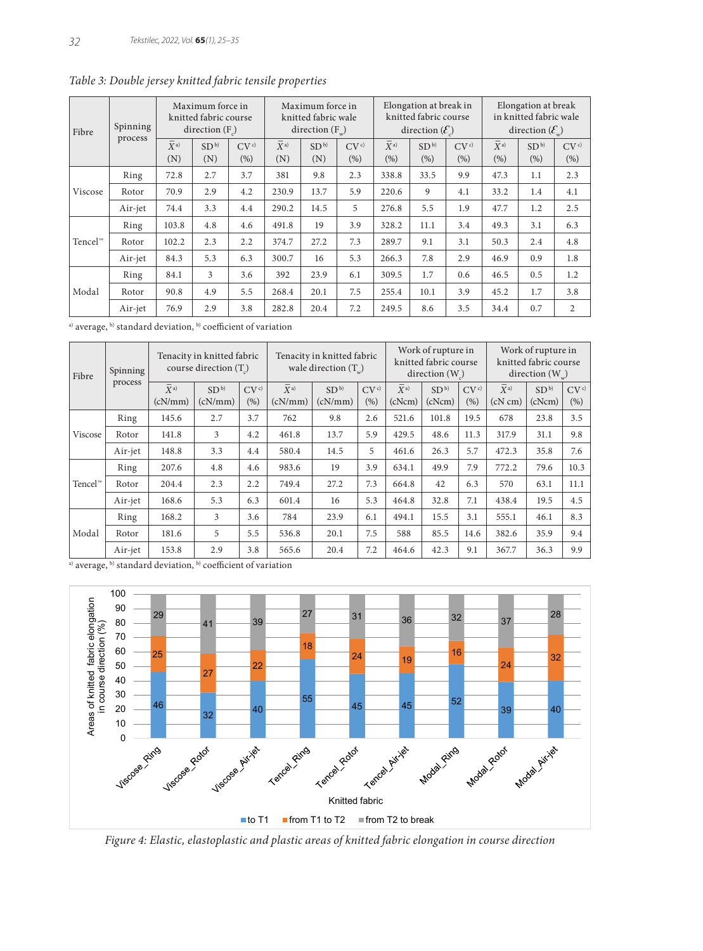| Fibre      | Spinning<br>process | Maximum force in<br>knitted fabric course<br>direction $(F)$ |                        |               |                          | Maximum force in<br>knitted fabric wale<br>direction $(F_{\ldots})$ |                         |                 | Elongation at break in<br>knitted fabric course<br>direction $(\mathcal{E})$ |                | Elongation at break<br>in knitted fabric wale<br>direction $(\mathcal{E})$ |                         |                |
|------------|---------------------|--------------------------------------------------------------|------------------------|---------------|--------------------------|---------------------------------------------------------------------|-------------------------|-----------------|------------------------------------------------------------------------------|----------------|----------------------------------------------------------------------------|-------------------------|----------------|
|            |                     | $\qquad \qquad -$<br>$\overline{X}$ a)<br>(N)                | SD <sup>b</sup><br>(N) | $CV^c$<br>(%) | $\overline{X}$ a)<br>(N) | SD <sup>b</sup><br>(N)                                              | CV <sup>c</sup><br>(% ) | $X^{a}$<br>(% ) | SD <sup>b</sup><br>(%)                                                       | $CV^c$<br>(% ) | $\overline{X}$ a)<br>(%)                                                   | SD <sup>b</sup><br>(% ) | $CV^c$<br>(% ) |
| Viscose    | Ring                | 72.8                                                         | 2.7                    | 3.7           | 381                      | 9.8                                                                 | 2.3                     | 338.8           | 33.5                                                                         | 9.9            | 47.3                                                                       | 1.1                     | 2.3            |
|            | Rotor               | 70.9                                                         | 2.9                    | 4.2           | 230.9                    | 13.7                                                                | 5.9                     | 220.6           | 9                                                                            | 4.1            | 33.2                                                                       | 1.4                     | 4.1            |
|            | Air-jet             | 74.4                                                         | 3.3                    | 4.4           | 290.2                    | 14.5                                                                | 5                       | 276.8           | 5.5                                                                          | 1.9            | 47.7                                                                       | 1.2                     | 2.5            |
| $Tencel^m$ | Ring                | 103.8                                                        | 4.8                    | 4.6           | 491.8                    | 19                                                                  | 3.9                     | 328.2           | 11.1                                                                         | 3.4            | 49.3                                                                       | 3.1                     | 6.3            |
|            | Rotor               | 102.2                                                        | 2.3                    | 2.2           | 374.7                    | 27.2                                                                | 7.3                     | 289.7           | 9.1                                                                          | 3.1            | 50.3                                                                       | 2.4                     | 4.8            |
|            | Air-jet             | 84.3                                                         | 5.3                    | 6.3           | 300.7                    | 16                                                                  | 5.3                     | 266.3           | 7.8                                                                          | 2.9            | 46.9                                                                       | 0.9                     | 1.8            |
| Modal      | Ring                | 84.1                                                         | 3                      | 3.6           | 392                      | 23.9                                                                | 6.1                     | 309.5           | 1.7                                                                          | 0.6            | 46.5                                                                       | 0.5                     | 1.2            |
|            | Rotor               | 90.8                                                         | 4.9                    | 5.5           | 268.4                    | 20.1                                                                | 7.5                     | 255.4           | 10.1                                                                         | 3.9            | 45.2                                                                       | 1.7                     | 3.8            |
|            | Air-jet             | 76.9                                                         | 2.9                    | 3.8           | 282.8                    | 20.4                                                                | 7.2                     | 249.5           | 8.6                                                                          | 3.5            | 34.4                                                                       | 0.7                     | $\overline{c}$ |

*Table 3: Double jersey knitted fabric tensile properties*

a) average, b) standard deviation, b) coefficient of variation

| Fibre               | Spinning<br>process | Tenacity in knitted fabric<br>course direction (T) |                 |        |                   | Tenacity in knitted fabric<br>wale direction $(T_$ ) | Work of rupture in<br>knitted fabric course<br>direction $(W)$ |         |                 | Work of rupture in<br>knitted fabric course<br>direction $(W_$ <sub><i>m</i></sub> $)$ |              |                 |        |
|---------------------|---------------------|----------------------------------------------------|-----------------|--------|-------------------|------------------------------------------------------|----------------------------------------------------------------|---------|-----------------|----------------------------------------------------------------------------------------|--------------|-----------------|--------|
|                     |                     | $\overline{X}$ a)                                  | SD <sup>b</sup> | $CV^c$ | $\overline{X}$ a) | SD <sup>b</sup>                                      | $CV^c$                                                         | $X^{a}$ | SD <sup>b</sup> | CV <sup>c</sup>                                                                        | $X^{a}$      | SD <sup>b</sup> | $CV^c$ |
|                     |                     | (cN/mm)                                            | (cN/mm)         | (% )   | (cN/mm)           | (cN/mm)                                              | (%)                                                            | (cNorm) | (cNcm)          | (% )                                                                                   | $(cN \, cm)$ | (cNcm)          | (% )   |
| Viscose             | Ring                | 145.6                                              | 2.7             | 3.7    | 762               | 9.8                                                  | 2.6                                                            | 521.6   | 101.8           | 19.5                                                                                   | 678          | 23.8            | 3.5    |
|                     | Rotor               | 141.8                                              | 3               | 4.2    | 461.8             | 13.7                                                 | 5.9                                                            | 429.5   | 48.6            | 11.3                                                                                   | 317.9        | 31.1            | 9.8    |
|                     | Air-jet             | 148.8                                              | 3.3             | 4.4    | 580.4             | 14.5                                                 | 5                                                              | 461.6   | 26.3            | 5.7                                                                                    | 472.3        | 35.8            | 7.6    |
| Tencel <sup>™</sup> | Ring                | 207.6                                              | 4.8             | 4.6    | 983.6             | 19                                                   | 3.9                                                            | 634.1   | 49.9            | 7.9                                                                                    | 772.2        | 79.6            | 10.3   |
|                     | Rotor               | 204.4                                              | 2.3             | 2.2    | 749.4             | 27.2                                                 | 7.3                                                            | 664.8   | 42              | 6.3                                                                                    | 570          | 63.1            | 11.1   |
|                     | Air-jet             | 168.6                                              | 5.3             | 6.3    | 601.4             | 16                                                   | 5.3                                                            | 464.8   | 32.8            | 7.1                                                                                    | 438.4        | 19.5            | 4.5    |
| Modal               | Ring                | 168.2                                              | 3               | 3.6    | 784               | 23.9                                                 | 6.1                                                            | 494.1   | 15.5            | 3.1                                                                                    | 555.1        | 46.1            | 8.3    |
|                     | Rotor               | 181.6                                              | 5               | 5.5    | 536.8             | 20.1                                                 | 7.5                                                            | 588     | 85.5            | 14.6                                                                                   | 382.6        | 35.9            | 9.4    |
|                     | Air-jet             | 153.8                                              | 2.9             | 3.8    | 565.6             | 20.4                                                 | 7.2                                                            | 464.6   | 42.3            | 9.1                                                                                    | 367.7        | 36.3            | 9.9    |

a) average, b) standard deviation, b) coefficient of variation



*Figure 4: Elastic, elastoplastic and plastic areas of knitted fabric elongation in course direction*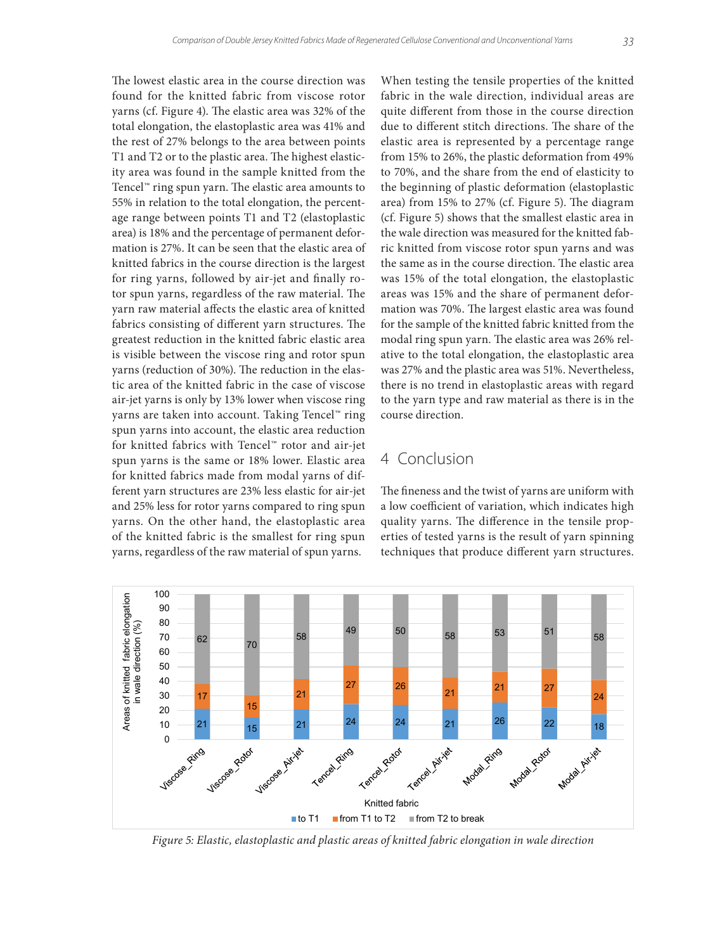The lowest elastic area in the course direction was found for the knitted fabric from viscose rotor yarns (cf. Figure 4). The elastic area was 32% of the total elongation, the elastoplastic area was 41% and the rest of 27% belongs to the area between points T1 and T2 or to the plastic area. The highest elasticity area was found in the sample knitted from the Tencel™ ring spun yarn. The elastic area amounts to 55% in relation to the total elongation, the percentage range between points T1 and T2 (elastoplastic area) is 18% and the percentage of permanent deformation is 27%. It can be seen that the elastic area of knitted fabrics in the course direction is the largest for ring yarns, followed by air-jet and finally rotor spun yarns, regardless of the raw material. The yarn raw material affects the elastic area of knitted fabrics consisting of different yarn structures. The greatest reduction in the knitted fabric elastic area is visible between the viscose ring and rotor spun yarns (reduction of 30%). The reduction in the elastic area of the knitted fabric in the case of viscose air-jet yarns is only by 13% lower when viscose ring yarns are taken into account. Taking Tencel™ ring spun yarns into account, the elastic area reduction for knitted fabrics with Tencel™ rotor and air-jet spun yarns is the same or 18% lower. Elastic area for knitted fabrics made from modal yarns of different yarn structures are 23% less elastic for air-jet and 25% less for rotor yarns compared to ring spun yarns. On the other hand, the elastoplastic area of the knitted fabric is the smallest for ring spun yarns, regardless of the raw material of spun yarns.

When testing the tensile properties of the knitted fabric in the wale direction, individual areas are quite different from those in the course direction due to different stitch directions. The share of the elastic area is represented by a percentage range from 15% to 26%, the plastic deformation from 49% to 70%, and the share from the end of elasticity to the beginning of plastic deformation (elastoplastic area) from 15% to 27% (cf. Figure 5). The diagram (cf. Figure 5) shows that the smallest elastic area in the wale direction was measured for the knitted fabric knitted from viscose rotor spun yarns and was the same as in the course direction. The elastic area was 15% of the total elongation, the elastoplastic areas was 15% and the share of permanent deformation was 70%. The largest elastic area was found for the sample of the knitted fabric knitted from the modal ring spun yarn. The elastic area was 26% relative to the total elongation, the elastoplastic area was 27% and the plastic area was 51%. Nevertheless, there is no trend in elastoplastic areas with regard to the yarn type and raw material as there is in the course direction.

### 4 Conclusion

The fineness and the twist of yarns are uniform with a low coefficient of variation, which indicates high quality yarns. The difference in the tensile properties of tested yarns is the result of yarn spinning techniques that produce different yarn structures.



*Figure 5: Elastic, elastoplastic and plastic areas of knitted fabric elongation in wale direction*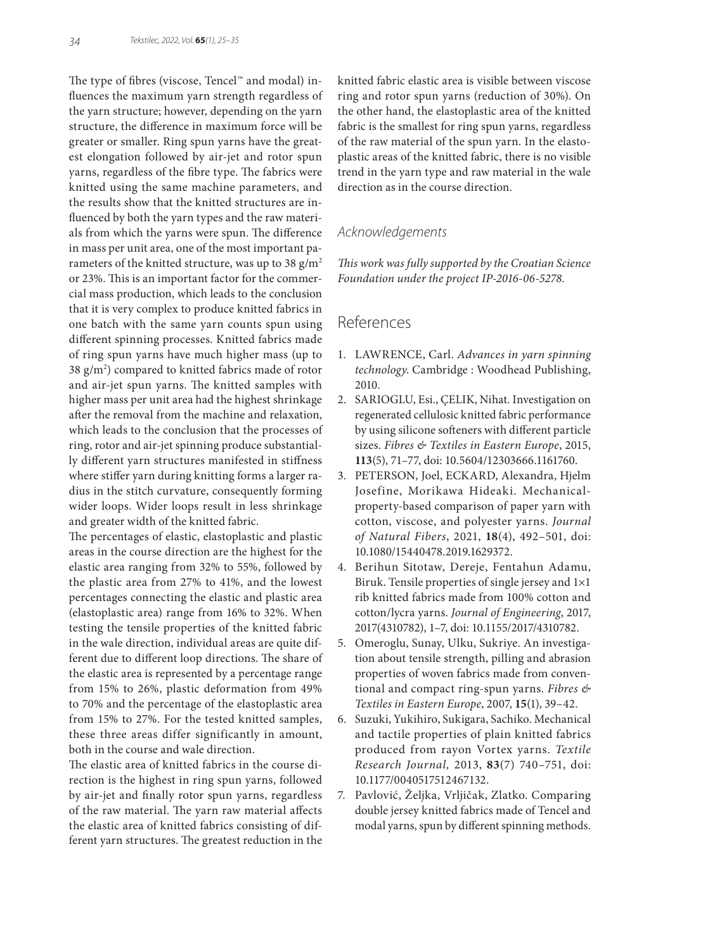The type of fibres (viscose, Tencel™ and modal) influences the maximum yarn strength regardless of the yarn structure; however, depending on the yarn structure, the difference in maximum force will be greater or smaller. Ring spun yarns have the greatest elongation followed by air-jet and rotor spun yarns, regardless of the fibre type. The fabrics were knitted using the same machine parameters, and the results show that the knitted structures are influenced by both the yarn types and the raw materials from which the yarns were spun. The difference in mass per unit area, one of the most important parameters of the knitted structure, was up to 38  $g/m^2$ or 23%. This is an important factor for the commercial mass production, which leads to the conclusion that it is very complex to produce knitted fabrics in one batch with the same yarn counts spun using different spinning processes. Knitted fabrics made of ring spun yarns have much higher mass (up to 38 g/m2 ) compared to knitted fabrics made of rotor and air-jet spun yarns. The knitted samples with higher mass per unit area had the highest shrinkage after the removal from the machine and relaxation, which leads to the conclusion that the processes of ring, rotor and air-jet spinning produce substantially different yarn structures manifested in stiffness where stiffer yarn during knitting forms a larger radius in the stitch curvature, consequently forming wider loops. Wider loops result in less shrinkage and greater width of the knitted fabric.

The percentages of elastic, elastoplastic and plastic areas in the course direction are the highest for the elastic area ranging from 32% to 55%, followed by the plastic area from 27% to 41%, and the lowest percentages connecting the elastic and plastic area (elastoplastic area) range from 16% to 32%. When testing the tensile properties of the knitted fabric in the wale direction, individual areas are quite different due to different loop directions. The share of the elastic area is represented by a percentage range from 15% to 26%, plastic deformation from 49% to 70% and the percentage of the elastoplastic area from 15% to 27%. For the tested knitted samples, these three areas differ significantly in amount, both in the course and wale direction.

The elastic area of knitted fabrics in the course direction is the highest in ring spun yarns, followed by air-jet and finally rotor spun yarns, regardless of the raw material. The yarn raw material affects the elastic area of knitted fabrics consisting of different yarn structures. The greatest reduction in the knitted fabric elastic area is visible between viscose ring and rotor spun yarns (reduction of 30%). On the other hand, the elastoplastic area of the knitted fabric is the smallest for ring spun yarns, regardless of the raw material of the spun yarn. In the elastoplastic areas of the knitted fabric, there is no visible trend in the yarn type and raw material in the wale direction as in the course direction.

### *Acknowledgements*

*This work was fully supported by the Croatian Science Foundation under the project IP-2016-06-5278.*

## References

- 1. LAWRENCE, Carl. *Advances in yarn spinning technology*. Cambridge : Woodhead Publishing, 2010.
- 2. SARIOGLU, Esi., ÇELIK, Nihat. Investigation on regenerated cellulosic knitted fabric performance by using silicone softeners with different particle sizes. *Fibres & Textiles in Eastern Europe*, 2015, **113**(5), 71–77, doi: 10.5604/12303666.1161760.
- 3. PETERSON, Joel, ECKARD, Alexandra, Hjelm Josefine, Morikawa Hideaki. Mechanicalproperty-based comparison of paper yarn with cotton, viscose, and polyester yarns. *Journal of Natural Fibers*, 2021, **18**(4), 492–501, doi: 10.1080/15440478.2019.1629372.
- 4. Berihun Sitotaw, Dereje, Fentahun Adamu, Biruk. Tensile properties of single jersey and 1×1 rib knitted fabrics made from 100% cotton and cotton/lycra yarns. *Journal of Engineering*, 2017, 2017(4310782), 1–7, doi: 10.1155/2017/4310782.
- 5. Omeroglu, Sunay, Ulku, Sukriye. An investigation about tensile strength, pilling and abrasion properties of woven fabrics made from conventional and compact ring-spun yarns. *Fibres & Textiles in Eastern Europe*, 2007, **15**(1), 39–42.
- 6. Suzuki, Yukihiro, Sukigara, Sachiko. Mechanical and tactile properties of plain knitted fabrics produced from rayon Vortex yarns. *Textile Research Journal,* 2013, **83**(7) 740–751, doi: 10.1177/0040517512467132.
- 7. Pavlović, Željka, Vrljičak, Zlatko. Comparing double jersey knitted fabrics made of Tencel and modal yarns, spun by different spinning methods.